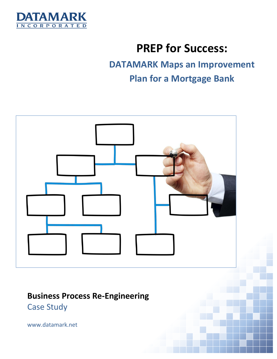

# **PREP for Success:**

# **DATAMARK Maps an Improvement Plan for a Mortgage Bank**



# **Business Process Re-Engineering** Case Study

www.datamark.net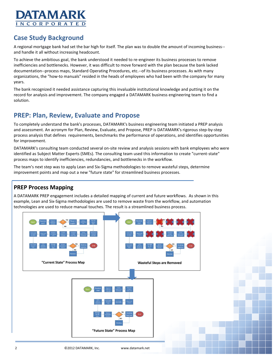

## **Case Study Background**

A regional mortgage bank had set the bar high for itself. The plan was to double the amount of incoming business- and handle it all without increasing headcount.

To achieve the ambitious goal, the bank understood it needed to re-engineer its business processes to remove inefficiencies and bottlenecks. However, it was difficult to move forward with the plan because the bank lacked documentation--process maps, Standard Operating Procedures, etc.--of its business processes. As with many organizations, the "how-to manuals" resided in the heads of employees who had been with the company for many years.

The bank recognized it needed assistance capturing this invaluable institutional knowledge and putting it on the record for analysis and improvement. The company engaged a DATAMARK business engineering team to find a solution.

### **PREP: Plan, Review, Evaluate and Propose**

To completely understand the bank's processes, DATAMARK's business engineering team initiated a PREP analysis and assessment. An acronym for Plan, Review, Evaluate, and Propose, PREP is DATAMARK's rigorous step-by-step process analysis that defines requirements, benchmarks the performance of operations, and identifies opportunities for improvement.

DATAMARK's consulting team conducted several on-site review and analysis sessions with bank employees who were identified as Subject Matter Experts (SMEs). The consulting team used this information to create "current-state" process maps to identify inefficiencies, redundancies, and bottlenecks in the workflow.

The team's next step was to apply Lean and Six-Sigma methodologies to remove wasteful steps, determine improvement points and map out a new "future state" for streamlined business processes.

#### **PREP Process Mapping**

A DATAMARK PREP engagement includes a detailed mapping of current and future workflows. As shown in this example, Lean and Six-Sigma methodologies are used to remove waste from the workflow, and automation technologies are used to reduce manual touches. The result is a streamlined business process.

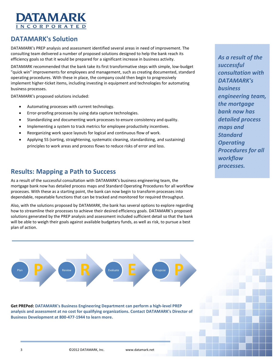

### **DATAMARK's Solution**

DATAMARK's PREP analysis and assessment identified several areas in need of improvement. The consulting team delivered a number of proposed solutions designed to help the bank reach its efficiency goals so that it would be prepared for a significant increase in business activity.

DATAMARK recommended that the bank take its first transformative steps with simple, low-budget "quick win" improvements for employees and management, such as creating documented, standard operating procedures. With these in place, the company could then begin to progressively implement higher-ticket items, including investing in equipment and technologies for automating business processes.

DATAMARK's proposed solutions included:

- Automating processes with current technology.
- Error-proofing processes by using data capture technologies.
- Standardizing and documenting work processes to ensure consistency and quality.
- Implementing a system to track metrics for employee productivity incentives.
- Reorganizing work space layouts for logical and continuous flow of work.
- Applying 5S (sorting, straightening, systematic cleaning, standardizing, and sustaining) principles to work areas and process flows to reduce risks of error and loss.

#### **Results: Mapping a Path to Success**

As a result of the successful consultation with DATAMARK's business engineering team, the mortgage bank now has detailed process maps and Standard Operating Procedures for all workflow processes. With these as a starting point, the bank can now begin to transform processes into dependable, repeatable functions that can be tracked and monitored for required throughput.

Also, with the solutions proposed by DATAMARK, the bank has several options to explore regarding how to streamline their processes to achieve their desired efficiency goals. DATAMARK's proposed solutions generated by the PREP analysis and assessment included sufficient detail so that the bank will be able to weigh their goals against available budgetary funds, as well as risk, to pursue a best plan of action.



**Get PREPed: DATAMARK's Business Engineering Department can perform a high-level PREP analysis and assessment at no cost for qualifying organizations. Contact DATAMARK's Director of Business Development at 800-477-1944 to learn more.**

*As a result of the successful consultation with DATAMARK's business engineering team, the mortgage bank now has detailed process maps and Standard Operating Procedures for all workflow processes.*